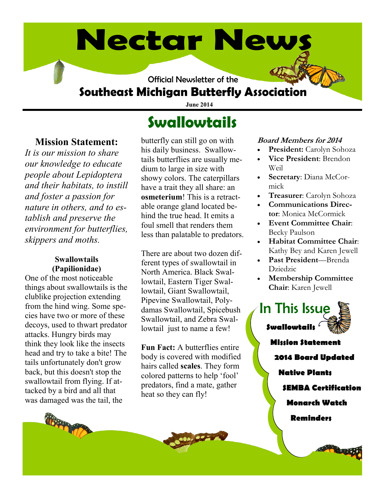# **Nectar News**

Official Newsletter of the

# **Southeast Michigan Butterfly Association**

**June 2014**

### **Mission Statement:**

*It is our mission to share our knowledge to educate people about Lepidoptera and their habitats, to instill and foster a passion for nature in others, and to establish and preserve the environment for butterflies, skippers and moths.* 

#### **Swallowtails (Papilionidae)**

One of the most noticeable things about swallowtails is the clublike projection extending from the hind wing. Some species have two or more of these decoys, used to thwart predator attacks. Hungry birds may think they look like the insects head and try to take a bite! The tails unfortunately don't grow back, but this doesn't stop the swallowtail from flying. If attacked by a bird and all that was damaged was the tail, the

# **Swallowtails**

butterfly can still go on with his daily business. Swallowtails butterflies are usually medium to large in size with showy colors. The caterpillars have a trait they all share: an **osmeterium**! This is a retractable orange gland located behind the true head. It emits a foul smell that renders them less than palatable to predators.

There are about two dozen different types of swallowtail in North America. Black Swallowtail, Eastern Tiger Swallowtail, Giant Swallowtail, Pipevine Swallowtail, Polydamas Swallowtail, Spicebush Swallowtail, and Zebra Swallowtail just to name a few!

**Fun Fact:** A butterflies entire body is covered with modified hairs called **scales**. They form colored patterns to help 'fool' predators, find a mate, gather heat so they can fly!

#### **Board Members for 2014**

- **President:** Carolyn Sohoza
- **Vice President**: Brendon Weil
- **Secretary**: Diana McCormick
- **Treasurer**: Carolyn Sohoza
- **Communications Director**: Monica McCormick
- **Event Committee Chair**: Becky Paulson
- **Habitat Committee Chair**: Kathy Bey and Karen Jewell
- **Past President**—Brenda Dziedzic
- **Membership Committee Chair**: Karen Jewell

**Swallowtails Mission Statement** In This Issue

**2014 Board Updated**

**Native Plants**

**SEMBA Certification**

**Monarch Watch**

**Reminders**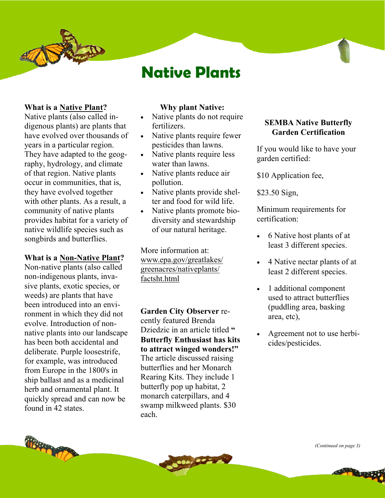

# **Native Plants**

#### **What is a Native Plant?**

Native plants (also called indigenous plants) are plants that have evolved over thousands of years in a particular region. They have adapted to the geography, hydrology, and climate of that region. Native plants occur in communities, that is, they have evolved together with other plants. As a result, a community of native plants provides habitat for a variety of native wildlife species such as songbirds and butterflies.

#### **What is a Non-Native Plant?**

Non-native plants (also called non-indigenous plants, invasive plants, exotic species, or weeds) are plants that have been introduced into an environment in which they did not evolve. Introduction of nonnative plants into our landscape has been both accidental and deliberate. Purple loosestrife, for example, was introduced from Europe in the 1800's in ship ballast and as a medicinal herb and ornamental plant. It quickly spread and can now be found in 42 states.

#### **Why plant Native:**

- Native plants do not require fertilizers.
- Native plants require fewer pesticides than lawns.
- Native plants require less water than lawns.
- Native plants reduce air pollution.
- Native plants provide shelter and food for wild life.
- Native plants promote biodiversity and stewardship of our natural heritage.

More information at: www.epa.gov/greatlakes/ greenacres/nativeplants/ factsht.html

**Garden City Observer** recently featured Brenda Dziedzic in an article titled **" Butterfly Enthusiast has kits to attract winged wonders!"** The article discussed raising butterflies and her Monarch Rearing Kits. They include 1 butterfly pop up habitat, 2 monarch caterpillars, and 4 swamp milkweed plants. \$30 each.

#### **SEMBA Native Butterfly Garden Certification**

If you would like to have your garden certified:

\$10 Application fee,

\$23.50 Sign,

Minimum requirements for certification:

- 6 Native host plants of at least 3 different species.
- 4 Native nectar plants of at least 2 different species.
- 1 additional component used to attract butterflies (puddling area, basking area, etc),
- Agreement not to use herbicides/pesticides.



*(Continued on page 3)*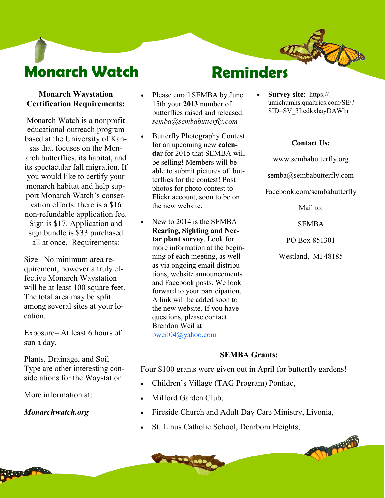# **Monarch Watch**

# **Reminders**

#### **Monarch Waystation Certification Requirements:**

Monarch Watch is a nonprofit educational outreach program based at the University of Kansas that focuses on the Monarch butterflies, its habitat, and its spectacular fall migration. If you would like to certify your monarch habitat and help support Monarch Watch's conservation efforts, there is a \$16 non-refundable application fee. Sign is \$17. Application and sign bundle is \$33 purchased all at once. Requirements:

Size– No minimum area requirement, however a truly effective Monarch Waystation will be at least 100 square feet. The total area may be split among several sites at your location.

Exposure– At least 6 hours of sun a day.

Plants, Drainage, and Soil Type are other interesting considerations for the Waystation.

More information at:

#### *Monarchwatch.org*

.

- Please email SEMBA by June 15th your **2013** number of butterflies raised and released. *semba@sembabutterfly.com*
- Butterfly Photography Contest for an upcoming new **calenda**r for 2015 that SEMBA will be selling! Members will be able to submit pictures of butterflies for the contest! Post photos for photo contest to Flickr account, soon to be on the new website.
- New to 2014 is the SEMBA **Rearing, Sighting and Nectar plant survey**. Look for more information at the beginning of each meeting, as well as via ongoing email distributions, website announcements and Facebook posts. We look forward to your participation. A link will be added soon to the new website. If you have questions, please contact Brendon Weil at [bweil04@yahoo.com](mailto:bweil04@yahoo.com)

 **Survey site**:[https://](https://umichumhs.qualtrics.com/SE/?SID=SV_3ItcdkxhayDAWln) [umichumhs.qualtrics.com/SE/?](https://umichumhs.qualtrics.com/SE/?SID=SV_3ItcdkxhayDAWln) [SID=SV\\_3ItcdkxhayDAWln](https://umichumhs.qualtrics.com/SE/?SID=SV_3ItcdkxhayDAWln)

#### **Contact Us:**

www.sembabutterfly.org semba@sembabutterfly.com

Facebook.com/sembabutterfly

Mail to:

SEMBA

PO Box 851301

Westland, MI 48185

#### **SEMBA Grants:**

Four \$100 grants were given out in April for butterfly gardens!

- Children's Village (TAG Program) Pontiac,
- Milford Garden Club,
- Fireside Church and Adult Day Care Ministry, Livonia,
- St. Linus Catholic School, Dearborn Heights,